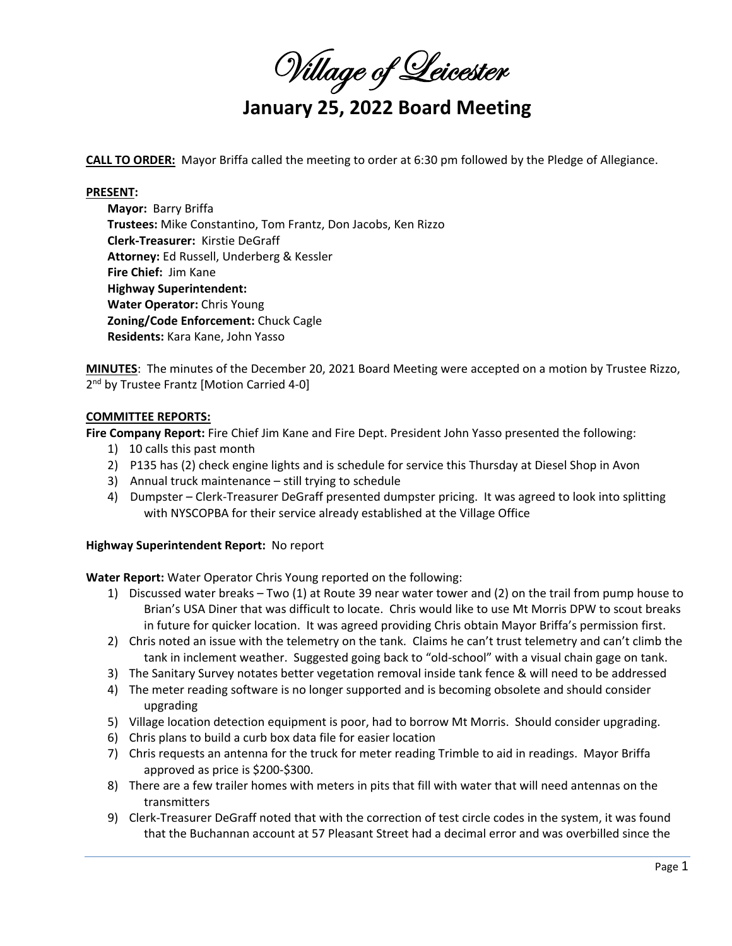Willage of Leicester

# **January 25, 2022 Board Meeting**

**CALL TO ORDER:** Mayor Briffa called the meeting to order at 6:30 pm followed by the Pledge of Allegiance.

#### **PRESENT:**

**Mayor: Barry Briffa Trustees:** Mike Constantino, Tom Frantz, Don Jacobs, Ken Rizzo **Clerk‐Treasurer:**  Kirstie DeGraff **Attorney:** Ed Russell, Underberg & Kessler **Fire Chief:**  Jim Kane **Highway Superintendent: Water Operator:** Chris Young **Zoning/Code Enforcement:** Chuck Cagle **Residents:** Kara Kane, John Yasso

**MINUTES**: The minutes of the December 20, 2021 Board Meeting were accepted on a motion by Trustee Rizzo, 2<sup>nd</sup> by Trustee Frantz [Motion Carried 4-0]

## **COMMITTEE REPORTS:**

**Fire Company Report:** Fire Chief Jim Kane and Fire Dept. President John Yasso presented the following:

- 1) 10 calls this past month
- 2) P135 has (2) check engine lights and is schedule for service this Thursday at Diesel Shop in Avon
- 3) Annual truck maintenance still trying to schedule
- 4) Dumpster Clerk-Treasurer DeGraff presented dumpster pricing. It was agreed to look into splitting with NYSCOPBA for their service already established at the Village Office

#### **Highway Superintendent Report:** No report

**Water Report:** Water Operator Chris Young reported on the following:

- 1) Discussed water breaks Two (1) at Route 39 near water tower and (2) on the trail from pump house to Brian's USA Diner that was difficult to locate. Chris would like to use Mt Morris DPW to scout breaks in future for quicker location. It was agreed providing Chris obtain Mayor Briffa's permission first.
- 2) Chris noted an issue with the telemetry on the tank. Claims he can't trust telemetry and can't climb the tank in inclement weather. Suggested going back to "old‐school" with a visual chain gage on tank.
- 3) The Sanitary Survey notates better vegetation removal inside tank fence & will need to be addressed
- 4) The meter reading software is no longer supported and is becoming obsolete and should consider upgrading
- 5) Village location detection equipment is poor, had to borrow Mt Morris. Should consider upgrading.
- 6) Chris plans to build a curb box data file for easier location
- 7) Chris requests an antenna for the truck for meter reading Trimble to aid in readings. Mayor Briffa approved as price is \$200‐\$300.
- 8) There are a few trailer homes with meters in pits that fill with water that will need antennas on the transmitters
- 9) Clerk-Treasurer DeGraff noted that with the correction of test circle codes in the system, it was found that the Buchannan account at 57 Pleasant Street had a decimal error and was overbilled since the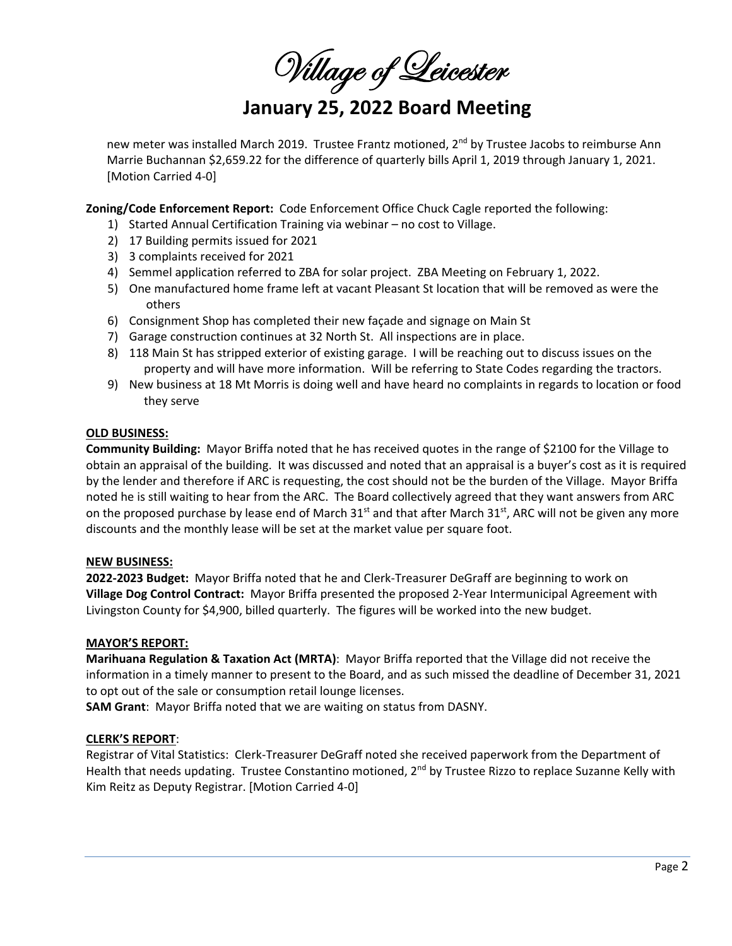Willage of Leicester

# **January 25, 2022 Board Meeting**

new meter was installed March 2019. Trustee Frantz motioned, 2<sup>nd</sup> by Trustee Jacobs to reimburse Ann Marrie Buchannan \$2,659.22 for the difference of quarterly bills April 1, 2019 through January 1, 2021. [Motion Carried 4‐0]

**Zoning/Code Enforcement Report:** Code Enforcement Office Chuck Cagle reported the following:

- 1) Started Annual Certification Training via webinar no cost to Village.
- 2) 17 Building permits issued for 2021
- 3) 3 complaints received for 2021
- 4) Semmel application referred to ZBA for solar project. ZBA Meeting on February 1, 2022.
- 5) One manufactured home frame left at vacant Pleasant St location that will be removed as were the others
- 6) Consignment Shop has completed their new façade and signage on Main St
- 7) Garage construction continues at 32 North St. All inspections are in place.
- 8) 118 Main St has stripped exterior of existing garage. I will be reaching out to discuss issues on the property and will have more information. Will be referring to State Codes regarding the tractors.
- 9) New business at 18 Mt Morris is doing well and have heard no complaints in regards to location or food they serve

### **OLD BUSINESS:**

**Community Building:** Mayor Briffa noted that he has received quotes in the range of \$2100 for the Village to obtain an appraisal of the building. It was discussed and noted that an appraisal is a buyer's cost as it is required by the lender and therefore if ARC is requesting, the cost should not be the burden of the Village. Mayor Briffa noted he is still waiting to hear from the ARC. The Board collectively agreed that they want answers from ARC on the proposed purchase by lease end of March 31<sup>st</sup> and that after March 31<sup>st</sup>, ARC will not be given any more discounts and the monthly lease will be set at the market value per square foot.

## **NEW BUSINESS:**

**2022‐2023 Budget:**  Mayor Briffa noted that he and Clerk‐Treasurer DeGraff are beginning to work on **Village Dog Control Contract:** Mayor Briffa presented the proposed 2‐Year Intermunicipal Agreement with Livingston County for \$4,900, billed quarterly. The figures will be worked into the new budget.

#### **MAYOR'S REPORT:**

**Marihuana Regulation & Taxation Act (MRTA)**: Mayor Briffa reported that the Village did not receive the information in a timely manner to present to the Board, and as such missed the deadline of December 31, 2021 to opt out of the sale or consumption retail lounge licenses.

**SAM Grant**: Mayor Briffa noted that we are waiting on status from DASNY.

## **CLERK'S REPORT**:

Registrar of Vital Statistics: Clerk‐Treasurer DeGraff noted she received paperwork from the Department of Health that needs updating. Trustee Constantino motioned, 2<sup>nd</sup> by Trustee Rizzo to replace Suzanne Kelly with Kim Reitz as Deputy Registrar. [Motion Carried 4‐0]